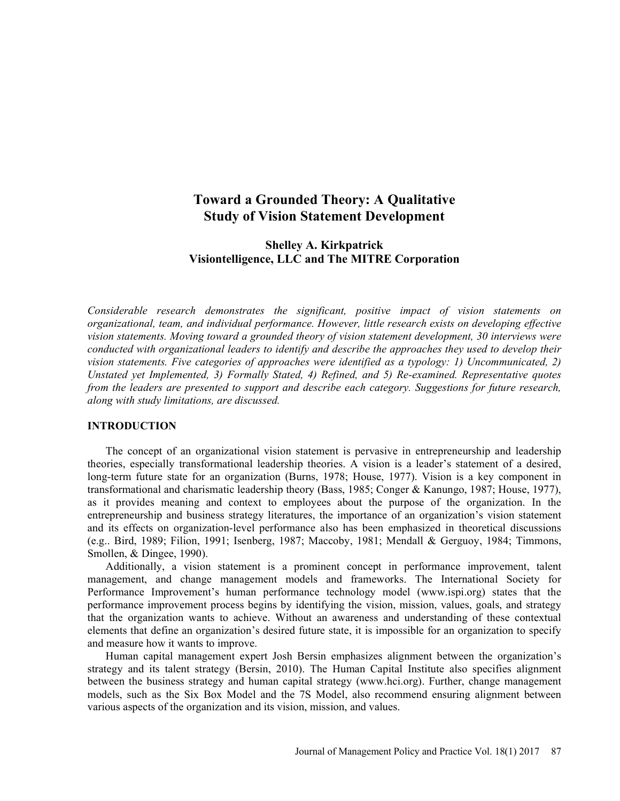# Toward a Grounded Theory: A Qualitative Study of Vision Statement Development

## Shelley A. Kirkpatrick Visiontelligence, LLC and The MITRE Corporation

Considerable research demonstrates the significant, positive impact of vision statements on organizational, team, and individual performance. However, little research exists on developing effective vision statements. Moving toward a grounded theory of vision statement development, 30 interviews were conducted with organizational leaders to identify and describe the approaches they used to develop their vision statements. Five categories of approaches were identified as a typology: 1) Uncommunicated, 2) Unstated yet Implemented, 3) Formally Stated, 4) Refined, and 5) Re-examined. Representative quotes from the leaders are presented to support and describe each category. Suggestions for future research, along with study limitations, are discussed.

### INTRODUCTION

The concept of an organizational vision statement is pervasive in entrepreneurship and leadership theories, especially transformational leadership theories. A vision is a leader's statement of a desired, long-term future state for an organization (Burns, 1978; House, 1977). Vision is a key component in transformational and charismatic leadership theory (Bass, 1985; Conger & Kanungo, 1987; House, 1977), as it provides meaning and context to employees about the purpose of the organization. In the entrepreneurship and business strategy literatures, the importance of an organization's vision statement and its effects on organization-level performance also has been emphasized in theoretical discussions (e.g.. Bird, 1989; Filion, 1991; Isenberg, 1987; Maccoby, 1981; Mendall & Gerguoy, 1984; Timmons, Smollen, & Dingee, 1990).

Additionally, a vision statement is a prominent concept in performance improvement, talent management, and change management models and frameworks. The International Society for Performance Improvement's human performance technology model (www.ispi.org) states that the performance improvement process begins by identifying the vision, mission, values, goals, and strategy that the organization wants to achieve. Without an awareness and understanding of these contextual elements that define an organization's desired future state, it is impossible for an organization to specify and measure how it wants to improve.

Human capital management expert Josh Bersin emphasizes alignment between the organization's strategy and its talent strategy (Bersin, 2010). The Human Capital Institute also specifies alignment between the business strategy and human capital strategy (www.hci.org). Further, change management models, such as the Six Box Model and the 7S Model, also recommend ensuring alignment between various aspects of the organization and its vision, mission, and values.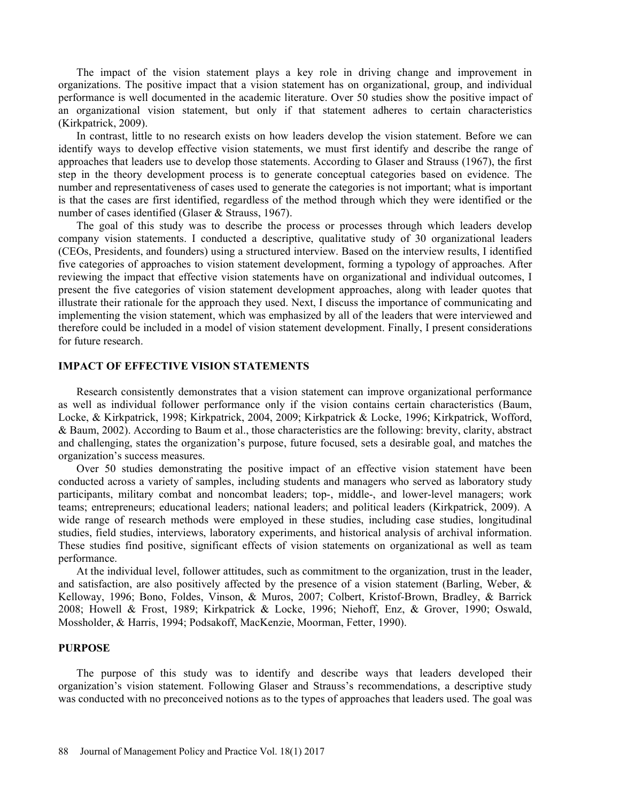The impact of the vision statement plays a key role in driving change and improvement in organizations. The positive impact that a vision statement has on organizational, group, and individual performance is well documented in the academic literature. Over 50 studies show the positive impact of an organizational vision statement, but only if that statement adheres to certain characteristics (Kirkpatrick, 2009).

In contrast, little to no research exists on how leaders develop the vision statement. Before we can identify ways to develop effective vision statements, we must first identify and describe the range of approaches that leaders use to develop those statements. According to Glaser and Strauss (1967), the first step in the theory development process is to generate conceptual categories based on evidence. The number and representativeness of cases used to generate the categories is not important; what is important is that the cases are first identified, regardless of the method through which they were identified or the number of cases identified (Glaser & Strauss, 1967).

The goal of this study was to describe the process or processes through which leaders develop company vision statements. I conducted a descriptive, qualitative study of 30 organizational leaders (CEOs, Presidents, and founders) using a structured interview. Based on the interview results, I identified five categories of approaches to vision statement development, forming a typology of approaches. After reviewing the impact that effective vision statements have on organizational and individual outcomes, I present the five categories of vision statement development approaches, along with leader quotes that illustrate their rationale for the approach they used. Next, I discuss the importance of communicating and implementing the vision statement, which was emphasized by all of the leaders that were interviewed and therefore could be included in a model of vision statement development. Finally, I present considerations for future research.

## IMPACT OF EFFECTIVE VISION STATEMENTS

Research consistently demonstrates that a vision statement can improve organizational performance as well as individual follower performance only if the vision contains certain characteristics (Baum, Locke, & Kirkpatrick, 1998; Kirkpatrick, 2004, 2009; Kirkpatrick & Locke, 1996; Kirkpatrick, Wofford, & Baum, 2002). According to Baum et al., those characteristics are the following: brevity, clarity, abstract and challenging, states the organization's purpose, future focused, sets a desirable goal, and matches the organization's success measures.

Over 50 studies demonstrating the positive impact of an effective vision statement have been conducted across a variety of samples, including students and managers who served as laboratory study participants, military combat and noncombat leaders; top-, middle-, and lower-level managers; work teams; entrepreneurs; educational leaders; national leaders; and political leaders (Kirkpatrick, 2009). A wide range of research methods were employed in these studies, including case studies, longitudinal studies, field studies, interviews, laboratory experiments, and historical analysis of archival information. These studies find positive, significant effects of vision statements on organizational as well as team performance.

At the individual level, follower attitudes, such as commitment to the organization, trust in the leader, and satisfaction, are also positively affected by the presence of a vision statement (Barling, Weber, & Kelloway, 1996; Bono, Foldes, Vinson, & Muros, 2007; Colbert, Kristof-Brown, Bradley, & Barrick 2008; Howell & Frost, 1989; Kirkpatrick & Locke, 1996; Niehoff, Enz, & Grover, 1990; Oswald, Mossholder, & Harris, 1994; Podsakoff, MacKenzie, Moorman, Fetter, 1990).

#### PURPOSE

The purpose of this study was to identify and describe ways that leaders developed their organization's vision statement. Following Glaser and Strauss's recommendations, a descriptive study was conducted with no preconceived notions as to the types of approaches that leaders used. The goal was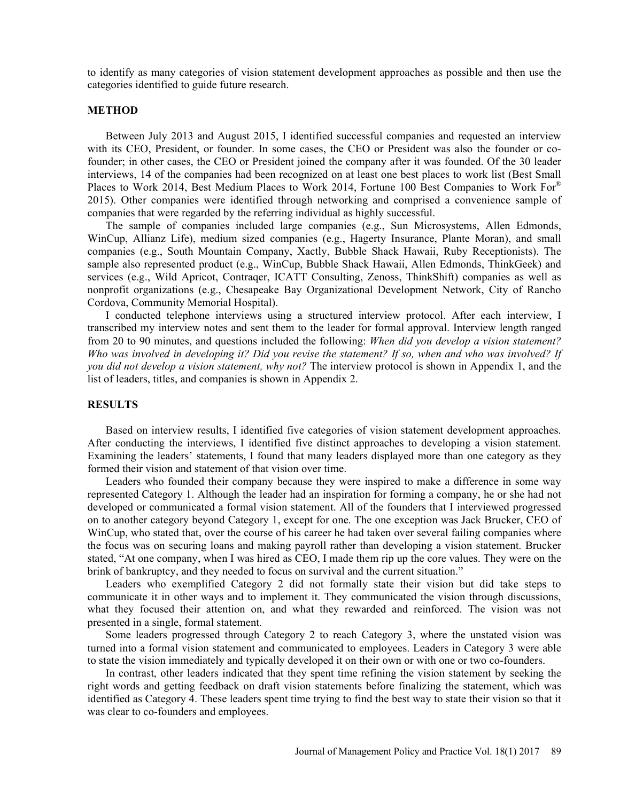to identify as many categories of vision statement development approaches as possible and then use the categories identified to guide future research.

### METHOD

Between July 2013 and August 2015, I identified successful companies and requested an interview with its CEO, President, or founder. In some cases, the CEO or President was also the founder or cofounder; in other cases, the CEO or President joined the company after it was founded. Of the 30 leader interviews, 14 of the companies had been recognized on at least one best places to work list (Best Small Places to Work 2014, Best Medium Places to Work 2014, Fortune 100 Best Companies to Work For® 2015). Other companies were identified through networking and comprised a convenience sample of companies that were regarded by the referring individual as highly successful.

The sample of companies included large companies (e.g., Sun Microsystems, Allen Edmonds, WinCup, Allianz Life), medium sized companies (e.g., Hagerty Insurance, Plante Moran), and small companies (e.g., South Mountain Company, Xactly, Bubble Shack Hawaii, Ruby Receptionists). The sample also represented product (e.g., WinCup, Bubble Shack Hawaii, Allen Edmonds, ThinkGeek) and services (e.g., Wild Apricot, Contraqer, ICATT Consulting, Zenoss, ThinkShift) companies as well as nonprofit organizations (e.g., Chesapeake Bay Organizational Development Network, City of Rancho Cordova, Community Memorial Hospital).

I conducted telephone interviews using a structured interview protocol. After each interview, I transcribed my interview notes and sent them to the leader for formal approval. Interview length ranged from 20 to 90 minutes, and questions included the following: When did you develop a vision statement? Who was involved in developing it? Did you revise the statement? If so, when and who was involved? If you did not develop a vision statement, why not? The interview protocol is shown in Appendix 1, and the list of leaders, titles, and companies is shown in Appendix 2.

#### **RESULTS**

Based on interview results, I identified five categories of vision statement development approaches. After conducting the interviews, I identified five distinct approaches to developing a vision statement. Examining the leaders' statements, I found that many leaders displayed more than one category as they formed their vision and statement of that vision over time.

Leaders who founded their company because they were inspired to make a difference in some way represented Category 1. Although the leader had an inspiration for forming a company, he or she had not developed or communicated a formal vision statement. All of the founders that I interviewed progressed on to another category beyond Category 1, except for one. The one exception was Jack Brucker, CEO of WinCup, who stated that, over the course of his career he had taken over several failing companies where the focus was on securing loans and making payroll rather than developing a vision statement. Brucker stated, "At one company, when I was hired as CEO, I made them rip up the core values. They were on the brink of bankruptcy, and they needed to focus on survival and the current situation.

Leaders who exemplified Category 2 did not formally state their vision but did take steps to communicate it in other ways and to implement it. They communicated the vision through discussions, what they focused their attention on, and what they rewarded and reinforced. The vision was not presented in a single, formal statement.

Some leaders progressed through Category 2 to reach Category 3, where the unstated vision was turned into a formal vision statement and communicated to employees. Leaders in Category 3 were able to state the vision immediately and typically developed it on their own or with one or two co-founders.

In contrast, other leaders indicated that they spent time refining the vision statement by seeking the right words and getting feedback on draft vision statements before finalizing the statement, which was identified as Category 4. These leaders spent time trying to find the best way to state their vision so that it was clear to co-founders and employees.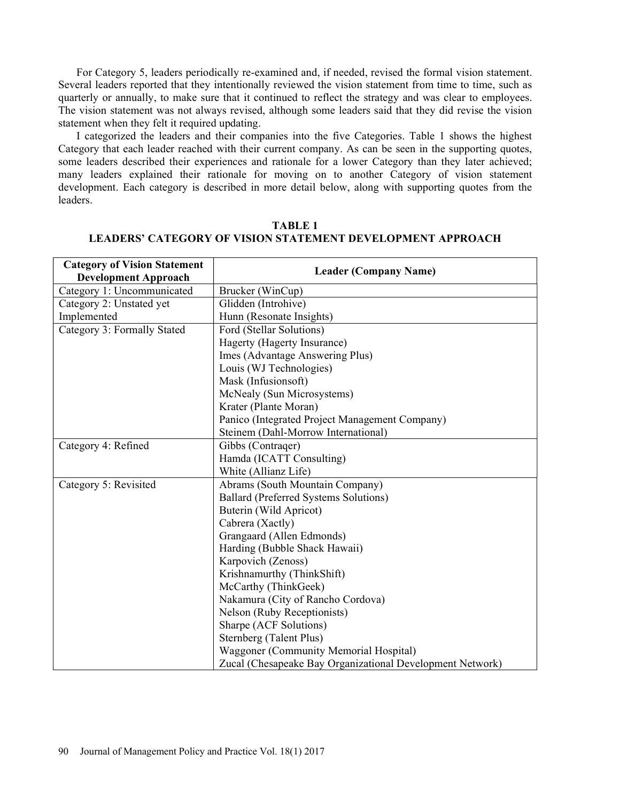For Category 5, leaders periodically re-examined and, if needed, revised the formal vision statement. Several leaders reported that they intentionally reviewed the vision statement from time to time, such as quarterly or annually, to make sure that it continued to reflect the strategy and was clear to employees. The vision statement was not always revised, although some leaders said that they did revise the vision statement when they felt it required updating.

I categorized the leaders and their companies into the five Categories. Table 1 shows the highest Category that each leader reached with their current company. As can be seen in the supporting quotes, some leaders described their experiences and rationale for a lower Category than they later achieved; many leaders explained their rationale for moving on to another Category of vision statement development. Each category is described in more detail below, along with supporting quotes from the leaders.

| <b>Category of Vision Statement</b> | <b>Leader (Company Name)</b>                              |
|-------------------------------------|-----------------------------------------------------------|
| <b>Development Approach</b>         |                                                           |
| Category 1: Uncommunicated          | Brucker (WinCup)                                          |
| Category 2: Unstated yet            | Glidden (Introhive)                                       |
| Implemented                         | Hunn (Resonate Insights)                                  |
| Category 3: Formally Stated         | Ford (Stellar Solutions)                                  |
|                                     | Hagerty (Hagerty Insurance)                               |
|                                     | Imes (Advantage Answering Plus)                           |
|                                     | Louis (WJ Technologies)                                   |
|                                     | Mask (Infusionsoft)                                       |
|                                     | McNealy (Sun Microsystems)                                |
|                                     | Krater (Plante Moran)                                     |
|                                     | Panico (Integrated Project Management Company)            |
|                                     | Steinem (Dahl-Morrow International)                       |
| Category 4: Refined                 | Gibbs (Contrager)                                         |
|                                     | Hamda (ICATT Consulting)                                  |
|                                     | White (Allianz Life)                                      |
| Category 5: Revisited               | Abrams (South Mountain Company)                           |
|                                     | Ballard (Preferred Systems Solutions)                     |
|                                     | Buterin (Wild Apricot)                                    |
|                                     | Cabrera (Xactly)                                          |
|                                     | Grangaard (Allen Edmonds)                                 |
|                                     | Harding (Bubble Shack Hawaii)                             |
|                                     | Karpovich (Zenoss)                                        |
|                                     | Krishnamurthy (ThinkShift)                                |
|                                     | McCarthy (ThinkGeek)                                      |
|                                     | Nakamura (City of Rancho Cordova)                         |
|                                     | Nelson (Ruby Receptionists)                               |
|                                     | Sharpe (ACF Solutions)                                    |
|                                     | Sternberg (Talent Plus)                                   |
|                                     | Waggoner (Community Memorial Hospital)                    |
|                                     | Zucal (Chesapeake Bay Organizational Development Network) |

## TABLE 1 LEADERS CATEGORY OF VISION STATEMENT DEVELOPMENT APPROACH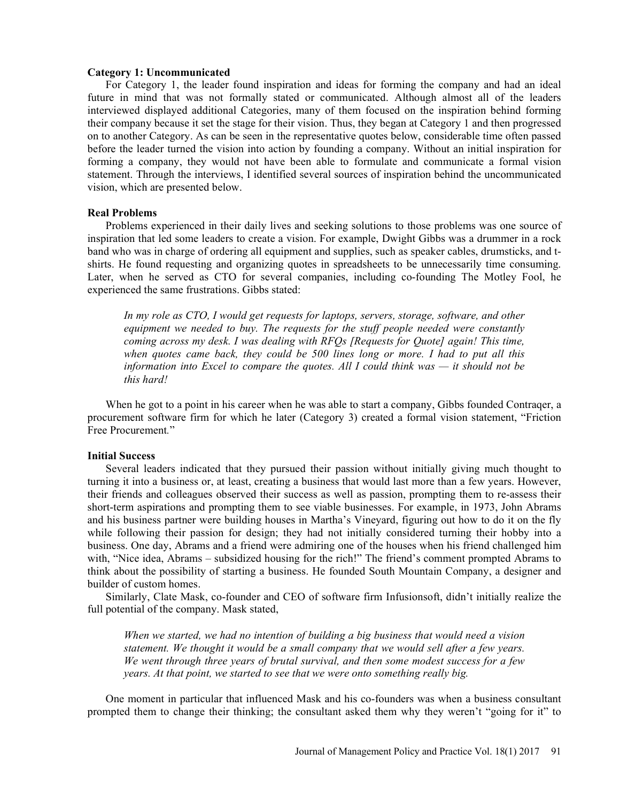#### Category 1: Uncommunicated

For Category 1, the leader found inspiration and ideas for forming the company and had an ideal future in mind that was not formally stated or communicated. Although almost all of the leaders interviewed displayed additional Categories, many of them focused on the inspiration behind forming their company because it set the stage for their vision. Thus, they began at Category 1 and then progressed on to another Category. As can be seen in the representative quotes below, considerable time often passed before the leader turned the vision into action by founding a company. Without an initial inspiration for forming a company, they would not have been able to formulate and communicate a formal vision statement. Through the interviews, I identified several sources of inspiration behind the uncommunicated vision, which are presented below.

#### Real Problems

Problems experienced in their daily lives and seeking solutions to those problems was one source of inspiration that led some leaders to create a vision. For example, Dwight Gibbs was a drummer in a rock band who was in charge of ordering all equipment and supplies, such as speaker cables, drumsticks, and tshirts. He found requesting and organizing quotes in spreadsheets to be unnecessarily time consuming. Later, when he served as CTO for several companies, including co-founding The Motley Fool, he experienced the same frustrations. Gibbs stated:

In my role as CTO, I would get requests for laptops, servers, storage, software, and other equipment we needed to buy. The requests for the stuff people needed were constantly coming across my desk. I was dealing with RFQs [Requests for Quote] again! This time, when quotes came back, they could be 500 lines long or more. I had to put all this information into Excel to compare the quotes. All I could think was  $-$  it should not be this hard!

When he got to a point in his career when he was able to start a company, Gibbs founded Contrager, a procurement software firm for which he later (Category 3) created a formal vision statement, "Friction Free Procurement.

#### Initial Success

Several leaders indicated that they pursued their passion without initially giving much thought to turning it into a business or, at least, creating a business that would last more than a few years. However, their friends and colleagues observed their success as well as passion, prompting them to re-assess their short-term aspirations and prompting them to see viable businesses. For example, in 1973, John Abrams and his business partner were building houses in Martha's Vineyard, figuring out how to do it on the fly while following their passion for design; they had not initially considered turning their hobby into a business. One day, Abrams and a friend were admiring one of the houses when his friend challenged him with, "Nice idea, Abrams - subsidized housing for the rich!" The friend's comment prompted Abrams to think about the possibility of starting a business. He founded South Mountain Company, a designer and builder of custom homes.

Similarly, Clate Mask, co-founder and CEO of software firm Infusionsoft, didn't initially realize the full potential of the company. Mask stated,

When we started, we had no intention of building a big business that would need a vision statement. We thought it would be a small company that we would sell after a few years. We went through three years of brutal survival, and then some modest success for a few years. At that point, we started to see that we were onto something really big.

One moment in particular that influenced Mask and his co-founders was when a business consultant prompted them to change their thinking; the consultant asked them why they weren't "going for it" to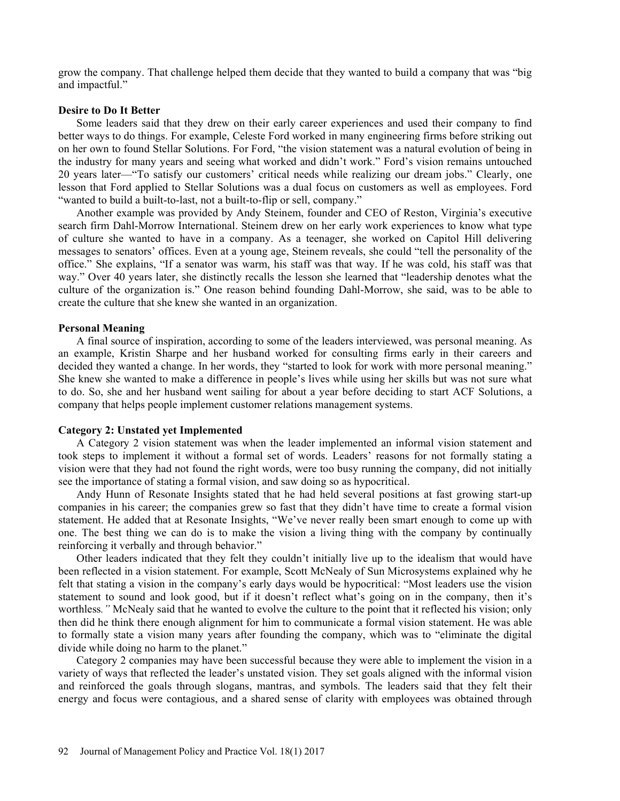grow the company. That challenge helped them decide that they wanted to build a company that was "big and impactful.

### Desire to Do It Better

Some leaders said that they drew on their early career experiences and used their company to find better ways to do things. For example, Celeste Ford worked in many engineering firms before striking out on her own to found Stellar Solutions. For Ford, "the vision statement was a natural evolution of being in the industry for many years and seeing what worked and didn't work." Ford's vision remains untouched 20 years later—"To satisfy our customers' critical needs while realizing our dream jobs." Clearly, one lesson that Ford applied to Stellar Solutions was a dual focus on customers as well as employees. Ford "wanted to build a built-to-last, not a built-to-flip or sell, company."

Another example was provided by Andy Steinem, founder and CEO of Reston, Virginia's executive search firm Dahl-Morrow International. Steinem drew on her early work experiences to know what type of culture she wanted to have in a company. As a teenager, she worked on Capitol Hill delivering messages to senators' offices. Even at a young age, Steinem reveals, she could "tell the personality of the office." She explains, "If a senator was warm, his staff was that way. If he was cold, his staff was that way." Over 40 years later, she distinctly recalls the lesson she learned that "leadership denotes what the culture of the organization is." One reason behind founding Dahl-Morrow, she said, was to be able to create the culture that she knew she wanted in an organization.

#### Personal Meaning

A final source of inspiration, according to some of the leaders interviewed, was personal meaning. As an example, Kristin Sharpe and her husband worked for consulting firms early in their careers and decided they wanted a change. In her words, they "started to look for work with more personal meaning." She knew she wanted to make a difference in people's lives while using her skills but was not sure what to do. So, she and her husband went sailing for about a year before deciding to start ACF Solutions, a company that helps people implement customer relations management systems.

#### Category 2: Unstated yet Implemented

A Category 2 vision statement was when the leader implemented an informal vision statement and took steps to implement it without a formal set of words. Leaders' reasons for not formally stating a vision were that they had not found the right words, were too busy running the company, did not initially see the importance of stating a formal vision, and saw doing so as hypocritical.

Andy Hunn of Resonate Insights stated that he had held several positions at fast growing start-up companies in his career; the companies grew so fast that they didn't have time to create a formal vision statement. He added that at Resonate Insights, "We've never really been smart enough to come up with one. The best thing we can do is to make the vision a living thing with the company by continually reinforcing it verbally and through behavior.

Other leaders indicated that they felt they couldn't initially live up to the idealism that would have been reflected in a vision statement. For example, Scott McNealy of Sun Microsystems explained why he felt that stating a vision in the company's early days would be hypocritical: "Most leaders use the vision statement to sound and look good, but if it doesn't reflect what's going on in the company, then it's worthless." McNealy said that he wanted to evolve the culture to the point that it reflected his vision; only then did he think there enough alignment for him to communicate a formal vision statement. He was able to formally state a vision many years after founding the company, which was to "eliminate the digital divide while doing no harm to the planet."

Category 2 companies may have been successful because they were able to implement the vision in a variety of ways that reflected the leader's unstated vision. They set goals aligned with the informal vision and reinforced the goals through slogans, mantras, and symbols. The leaders said that they felt their energy and focus were contagious, and a shared sense of clarity with employees was obtained through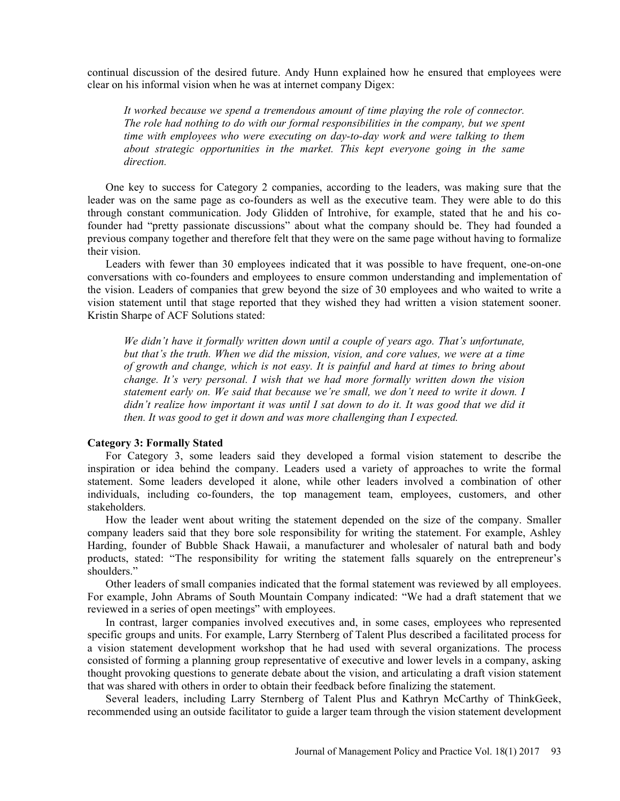continual discussion of the desired future. Andy Hunn explained how he ensured that employees were clear on his informal vision when he was at internet company Digex:

It worked because we spend a tremendous amount of time playing the role of connector. The role had nothing to do with our formal responsibilities in the company, but we spent time with employees who were executing on day-to-day work and were talking to them about strategic opportunities in the market. This kept everyone going in the same direction.

One key to success for Category 2 companies, according to the leaders, was making sure that the leader was on the same page as co-founders as well as the executive team. They were able to do this through constant communication. Jody Glidden of Introhive, for example, stated that he and his cofounder had "pretty passionate discussions" about what the company should be. They had founded a previous company together and therefore felt that they were on the same page without having to formalize their vision.

Leaders with fewer than 30 employees indicated that it was possible to have frequent, one-on-one conversations with co-founders and employees to ensure common understanding and implementation of the vision. Leaders of companies that grew beyond the size of 30 employees and who waited to write a vision statement until that stage reported that they wished they had written a vision statement sooner. Kristin Sharpe of ACF Solutions stated:

We didn't have it formally written down until a couple of years ago. That's unfortunate, but that's the truth. When we did the mission, vision, and core values, we were at a time of growth and change, which is not easy. It is painful and hard at times to bring about change. It's very personal. I wish that we had more formally written down the vision statement early on. We said that because we're small, we don't need to write it down.  $I$  $d$ idn't realize how important it was until I sat down to do it. It was good that we did it then. It was good to get it down and was more challenging than I expected.

#### Category 3: Formally Stated

For Category 3, some leaders said they developed a formal vision statement to describe the inspiration or idea behind the company. Leaders used a variety of approaches to write the formal statement. Some leaders developed it alone, while other leaders involved a combination of other individuals, including co-founders, the top management team, employees, customers, and other stakeholders.

How the leader went about writing the statement depended on the size of the company. Smaller company leaders said that they bore sole responsibility for writing the statement. For example, Ashley Harding, founder of Bubble Shack Hawaii, a manufacturer and wholesaler of natural bath and body products, stated: "The responsibility for writing the statement falls squarely on the entrepreneur's shoulders."

Other leaders of small companies indicated that the formal statement was reviewed by all employees. For example, John Abrams of South Mountain Company indicated: We had a draft statement that we reviewed in a series of open meetings" with employees.

In contrast, larger companies involved executives and, in some cases, employees who represented specific groups and units. For example, Larry Sternberg of Talent Plus described a facilitated process for a vision statement development workshop that he had used with several organizations. The process consisted of forming a planning group representative of executive and lower levels in a company, asking thought provoking questions to generate debate about the vision, and articulating a draft vision statement that was shared with others in order to obtain their feedback before finalizing the statement.

Several leaders, including Larry Sternberg of Talent Plus and Kathryn McCarthy of ThinkGeek, recommended using an outside facilitator to guide a larger team through the vision statement development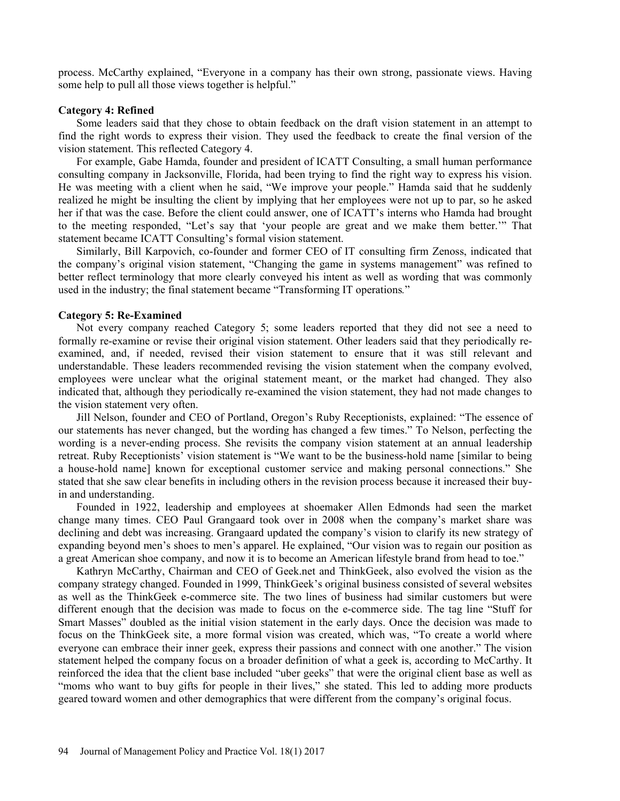process. McCarthy explained, "Everyone in a company has their own strong, passionate views. Having some help to pull all those views together is helpful."

## Category 4: Refined

Some leaders said that they chose to obtain feedback on the draft vision statement in an attempt to find the right words to express their vision. They used the feedback to create the final version of the vision statement. This reflected Category 4.

For example, Gabe Hamda, founder and president of ICATT Consulting, a small human performance consulting company in Jacksonville, Florida, had been trying to find the right way to express his vision. He was meeting with a client when he said, "We improve your people." Hamda said that he suddenly realized he might be insulting the client by implying that her employees were not up to par, so he asked her if that was the case. Before the client could answer, one of ICATT's interns who Hamda had brought to the meeting responded, "Let's say that 'your people are great and we make them better." That statement became ICATT Consulting's formal vision statement.

Similarly, Bill Karpovich, co-founder and former CEO of IT consulting firm Zenoss, indicated that the company's original vision statement, "Changing the game in systems management" was refined to better reflect terminology that more clearly conveyed his intent as well as wording that was commonly used in the industry; the final statement became "Transforming IT operations."

### Category 5: Re-Examined

Not every company reached Category 5; some leaders reported that they did not see a need to formally re-examine or revise their original vision statement. Other leaders said that they periodically reexamined, and, if needed, revised their vision statement to ensure that it was still relevant and understandable. These leaders recommended revising the vision statement when the company evolved, employees were unclear what the original statement meant, or the market had changed. They also indicated that, although they periodically re-examined the vision statement, they had not made changes to the vision statement very often.

Jill Nelson, founder and CEO of Portland, Oregon's Ruby Receptionists, explained: "The essence of our statements has never changed, but the wording has changed a few times. To Nelson, perfecting the wording is a never-ending process. She revisits the company vision statement at an annual leadership retreat. Ruby Receptionists' vision statement is "We want to be the business-hold name [similar to being] a house-hold name] known for exceptional customer service and making personal connections." She stated that she saw clear benefits in including others in the revision process because it increased their buyin and understanding.

Founded in 1922, leadership and employees at shoemaker Allen Edmonds had seen the market change many times. CEO Paul Grangaard took over in 2008 when the companys market share was declining and debt was increasing. Grangaard updated the company's vision to clarify its new strategy of expanding beyond men's shoes to men's apparel. He explained, "Our vision was to regain our position as a great American shoe company, and now it is to become an American lifestyle brand from head to toe.

Kathryn McCarthy, Chairman and CEO of Geek.net and ThinkGeek, also evolved the vision as the company strategy changed. Founded in 1999, ThinkGeek's original business consisted of several websites as well as the ThinkGeek e-commerce site. The two lines of business had similar customers but were different enough that the decision was made to focus on the e-commerce side. The tag line "Stuff for Smart Masses" doubled as the initial vision statement in the early days. Once the decision was made to focus on the ThinkGeek site, a more formal vision was created, which was, "To create a world where everyone can embrace their inner geek, express their passions and connect with one another." The vision statement helped the company focus on a broader definition of what a geek is, according to McCarthy. It reinforced the idea that the client base included "uber geeks" that were the original client base as well as "moms who want to buy gifts for people in their lives," she stated. This led to adding more products geared toward women and other demographics that were different from the companys original focus.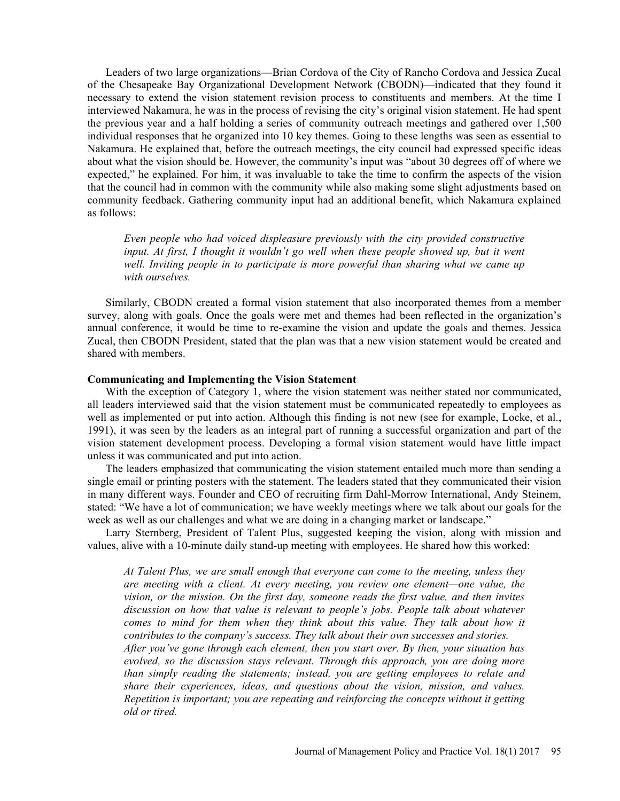Leaders of two large organizations—Brian Cordova of the City of Rancho Cordova and Jessica Zucal of the Chesapeake Bay Organizational Development Network (CBODN)—indicated that they found it necessary to extend the vision statement revision process to constituents and members. At the time I interviewed Nakamura, he was in the process of revising the city's original vision statement. He had spent the previous year and a half holding a series of community outreach meetings and gathered over 1,500 individual responses that he organized into 10 key themes. Going to these lengths was seen as essential to Nakamura. He explained that, before the outreach meetings, the city council had expressed specific ideas about what the vision should be. However, the community's input was "about 30 degrees off of where we expected," he explained. For him, it was invaluable to take the time to confirm the aspects of the vision that the council had in common with the community while also making some slight adjustments based on community feedback. Gathering community input had an additional benefit, which Nakamura explained as follows:

Even people who had voiced displeasure previously with the city provided constructive input. At first, I thought it wouldn't go well when these people showed up, but it went well. Inviting people in to participate is more powerful than sharing what we came up with ourselves.

Similarly, CBODN created a formal vision statement that also incorporated themes from a member survey, along with goals. Once the goals were met and themes had been reflected in the organization's annual conference, it would be time to re-examine the vision and update the goals and themes. Jessica Zucal, then CBODN President, stated that the plan was that a new vision statement would be created and shared with members.

#### Communicating and Implementing the Vision Statement

With the exception of Category 1, where the vision statement was neither stated nor communicated, all leaders interviewed said that the vision statement must be communicated repeatedly to employees as well as implemented or put into action. Although this finding is not new (see for example, Locke, et al., 1991), it was seen by the leaders as an integral part of running a successful organization and part of the vision statement development process. Developing a formal vision statement would have little impact unless it was communicated and put into action.

The leaders emphasized that communicating the vision statement entailed much more than sending a single email or printing posters with the statement. The leaders stated that they communicated their vision in many different ways. Founder and CEO of recruiting firm Dahl-Morrow International, Andy Steinem, stated: We have a lot of communication; we have weekly meetings where we talk about our goals for the week as well as our challenges and what we are doing in a changing market or landscape."

Larry Sternberg, President of Talent Plus, suggested keeping the vision, along with mission and values, alive with a 10-minute daily stand-up meeting with employees. He shared how this worked:

At Talent Plus, we are small enough that everyone can come to the meeting, unless they are meeting with a client. At every meeting, you review one element—one value, the vision, or the mission. On the first day, someone reads the first value, and then invites discussion on how that value is relevant to people's jobs. People talk about whatever comes to mind for them when they think about this value. They talk about how it contributes to the company's success. They talk about their own successes and stories. After you've gone through each element, then you start over. By then, your situation has evolved, so the discussion stays relevant. Through this approach, you are doing more than simply reading the statements; instead, you are getting employees to relate and share their experiences, ideas, and questions about the vision, mission, and values. Repetition is important; you are repeating and reinforcing the concepts without it getting old or tired.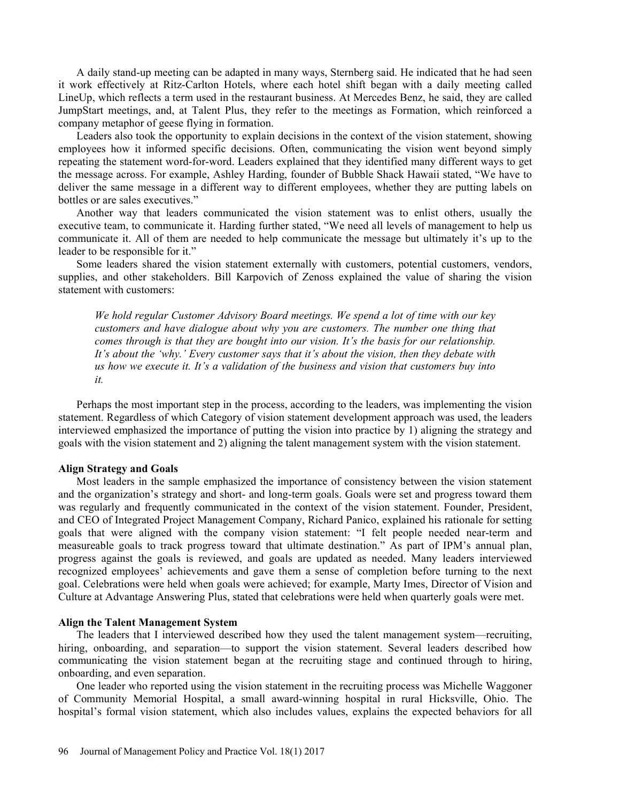A daily stand-up meeting can be adapted in many ways, Sternberg said. He indicated that he had seen it work effectively at Ritz-Carlton Hotels, where each hotel shift began with a daily meeting called LineUp, which reflects a term used in the restaurant business. At Mercedes Benz, he said, they are called JumpStart meetings, and, at Talent Plus, they refer to the meetings as Formation, which reinforced a company metaphor of geese flying in formation.

Leaders also took the opportunity to explain decisions in the context of the vision statement, showing employees how it informed specific decisions. Often, communicating the vision went beyond simply repeating the statement word-for-word. Leaders explained that they identified many different ways to get the message across. For example, Ashley Harding, founder of Bubble Shack Hawaii stated, "We have to deliver the same message in a different way to different employees, whether they are putting labels on bottles or are sales executives.

Another way that leaders communicated the vision statement was to enlist others, usually the executive team, to communicate it. Harding further stated, "We need all levels of management to help us communicate it. All of them are needed to help communicate the message but ultimately it's up to the leader to be responsible for it.

Some leaders shared the vision statement externally with customers, potential customers, vendors, supplies, and other stakeholders. Bill Karpovich of Zenoss explained the value of sharing the vision statement with customers:

We hold regular Customer Advisory Board meetings. We spend a lot of time with our key customers and have dialogue about why you are customers. The number one thing that comes through is that they are bought into our vision. It's the basis for our relationship. It's about the 'why.' Every customer says that it's about the vision, then they debate with us how we execute it. It's a validation of the business and vision that customers buy into it.

Perhaps the most important step in the process, according to the leaders, was implementing the vision statement. Regardless of which Category of vision statement development approach was used, the leaders interviewed emphasized the importance of putting the vision into practice by 1) aligning the strategy and goals with the vision statement and 2) aligning the talent management system with the vision statement.

#### Align Strategy and Goals

Most leaders in the sample emphasized the importance of consistency between the vision statement and the organization's strategy and short- and long-term goals. Goals were set and progress toward them was regularly and frequently communicated in the context of the vision statement. Founder, President, and CEO of Integrated Project Management Company, Richard Panico, explained his rationale for setting goals that were aligned with the company vision statement: "I felt people needed near-term and measureable goals to track progress toward that ultimate destination." As part of IPM's annual plan, progress against the goals is reviewed, and goals are updated as needed. Many leaders interviewed recognized employees' achievements and gave them a sense of completion before turning to the next goal. Celebrations were held when goals were achieved; for example, Marty Imes, Director of Vision and Culture at Advantage Answering Plus, stated that celebrations were held when quarterly goals were met.

#### Align the Talent Management System

The leaders that I interviewed described how they used the talent management system-recruiting, hiring, onboarding, and separation—to support the vision statement. Several leaders described how communicating the vision statement began at the recruiting stage and continued through to hiring, onboarding, and even separation.

One leader who reported using the vision statement in the recruiting process was Michelle Waggoner of Community Memorial Hospital, a small award-winning hospital in rural Hicksville, Ohio. The hospital's formal vision statement, which also includes values, explains the expected behaviors for all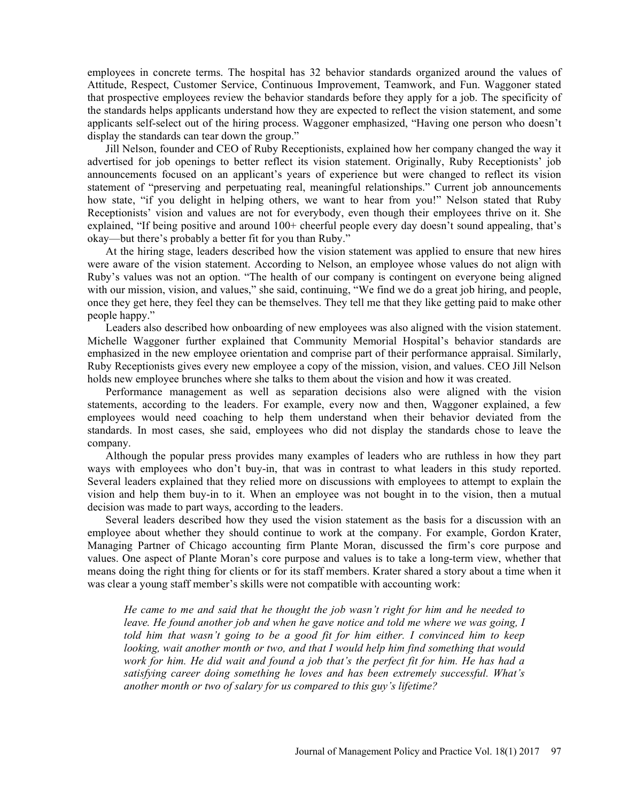employees in concrete terms. The hospital has 32 behavior standards organized around the values of Attitude, Respect, Customer Service, Continuous Improvement, Teamwork, and Fun. Waggoner stated that prospective employees review the behavior standards before they apply for a job. The specificity of the standards helps applicants understand how they are expected to reflect the vision statement, and some applicants self-select out of the hiring process. Waggoner emphasized, "Having one person who doesn't display the standards can tear down the group.

Jill Nelson, founder and CEO of Ruby Receptionists, explained how her company changed the way it advertised for job openings to better reflect its vision statement. Originally, Ruby Receptionists' job announcements focused on an applicant's years of experience but were changed to reflect its vision statement of "preserving and perpetuating real, meaningful relationships." Current job announcements how state, "if you delight in helping others, we want to hear from you!" Nelson stated that Ruby Receptionists' vision and values are not for everybody, even though their employees thrive on it. She explained, "If being positive and around 100+ cheerful people every day doesn't sound appealing, that's okay—but there's probably a better fit for you than Ruby."

At the hiring stage, leaders described how the vision statement was applied to ensure that new hires were aware of the vision statement. According to Nelson, an employee whose values do not align with Ruby's values was not an option. "The health of our company is contingent on everyone being aligned with our mission, vision, and values," she said, continuing, "We find we do a great job hiring, and people, once they get here, they feel they can be themselves. They tell me that they like getting paid to make other people happy.

Leaders also described how onboarding of new employees was also aligned with the vision statement. Michelle Waggoner further explained that Community Memorial Hospital's behavior standards are emphasized in the new employee orientation and comprise part of their performance appraisal. Similarly, Ruby Receptionists gives every new employee a copy of the mission, vision, and values. CEO Jill Nelson holds new employee brunches where she talks to them about the vision and how it was created.

Performance management as well as separation decisions also were aligned with the vision statements, according to the leaders. For example, every now and then, Waggoner explained, a few employees would need coaching to help them understand when their behavior deviated from the standards. In most cases, she said, employees who did not display the standards chose to leave the company.

Although the popular press provides many examples of leaders who are ruthless in how they part ways with employees who don't buy-in, that was in contrast to what leaders in this study reported. Several leaders explained that they relied more on discussions with employees to attempt to explain the vision and help them buy-in to it. When an employee was not bought in to the vision, then a mutual decision was made to part ways, according to the leaders.

Several leaders described how they used the vision statement as the basis for a discussion with an employee about whether they should continue to work at the company. For example, Gordon Krater, Managing Partner of Chicago accounting firm Plante Moran, discussed the firm's core purpose and values. One aspect of Plante Moran's core purpose and values is to take a long-term view, whether that means doing the right thing for clients or for its staff members. Krater shared a story about a time when it was clear a young staff member's skills were not compatible with accounting work:

He came to me and said that he thought the job wasn't right for him and he needed to leave. He found another job and when he gave notice and told me where we was going, I told him that wasn't going to be a good fit for him either. I convinced him to keep looking, wait another month or two, and that I would help him find something that would work for him. He did wait and found a job that's the perfect fit for him. He has had a satisfying career doing something he loves and has been extremely successful. What's another month or two of salary for us compared to this guy's lifetime?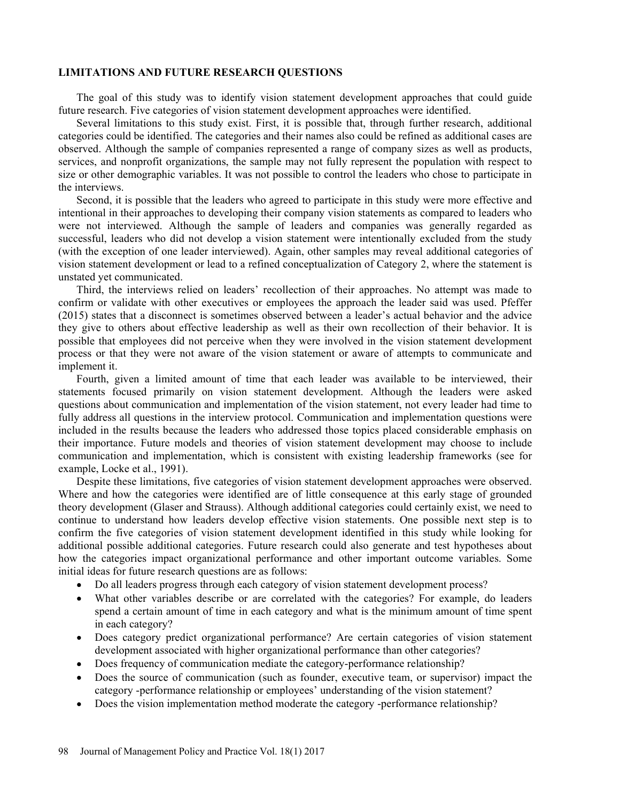### LIMITATIONS AND FUTURE RESEARCH QUESTIONS

The goal of this study was to identify vision statement development approaches that could guide future research. Five categories of vision statement development approaches were identified.

Several limitations to this study exist. First, it is possible that, through further research, additional categories could be identified. The categories and their names also could be refined as additional cases are observed. Although the sample of companies represented a range of company sizes as well as products, services, and nonprofit organizations, the sample may not fully represent the population with respect to size or other demographic variables. It was not possible to control the leaders who chose to participate in the interviews.

Second, it is possible that the leaders who agreed to participate in this study were more effective and intentional in their approaches to developing their company vision statements as compared to leaders who were not interviewed. Although the sample of leaders and companies was generally regarded as successful, leaders who did not develop a vision statement were intentionally excluded from the study (with the exception of one leader interviewed). Again, other samples may reveal additional categories of vision statement development or lead to a refined conceptualization of Category 2, where the statement is unstated yet communicated.

Third, the interviews relied on leaders' recollection of their approaches. No attempt was made to confirm or validate with other executives or employees the approach the leader said was used. Pfeffer  $(2015)$  states that a disconnect is sometimes observed between a leader's actual behavior and the advice they give to others about effective leadership as well as their own recollection of their behavior. It is possible that employees did not perceive when they were involved in the vision statement development process or that they were not aware of the vision statement or aware of attempts to communicate and implement it.

Fourth, given a limited amount of time that each leader was available to be interviewed, their statements focused primarily on vision statement development. Although the leaders were asked questions about communication and implementation of the vision statement, not every leader had time to fully address all questions in the interview protocol. Communication and implementation questions were included in the results because the leaders who addressed those topics placed considerable emphasis on their importance. Future models and theories of vision statement development may choose to include communication and implementation, which is consistent with existing leadership frameworks (see for example, Locke et al., 1991).

Despite these limitations, five categories of vision statement development approaches were observed. Where and how the categories were identified are of little consequence at this early stage of grounded theory development (Glaser and Strauss). Although additional categories could certainly exist, we need to continue to understand how leaders develop effective vision statements. One possible next step is to confirm the five categories of vision statement development identified in this study while looking for additional possible additional categories. Future research could also generate and test hypotheses about how the categories impact organizational performance and other important outcome variables. Some initial ideas for future research questions are as follows:

- Do all leaders progress through each category of vision statement development process?  $\bullet$
- What other variables describe or are correlated with the categories? For example, do leaders spend a certain amount of time in each category and what is the minimum amount of time spent in each category?
- Does category predict organizational performance? Are certain categories of vision statement development associated with higher organizational performance than other categories?
- Does frequency of communication mediate the category-performance relationship?
- Does the source of communication (such as founder, executive team, or supervisor) impact the category -performance relationship or employees' understanding of the vision statement?
- Does the vision implementation method moderate the category -performance relationship?  $\bullet$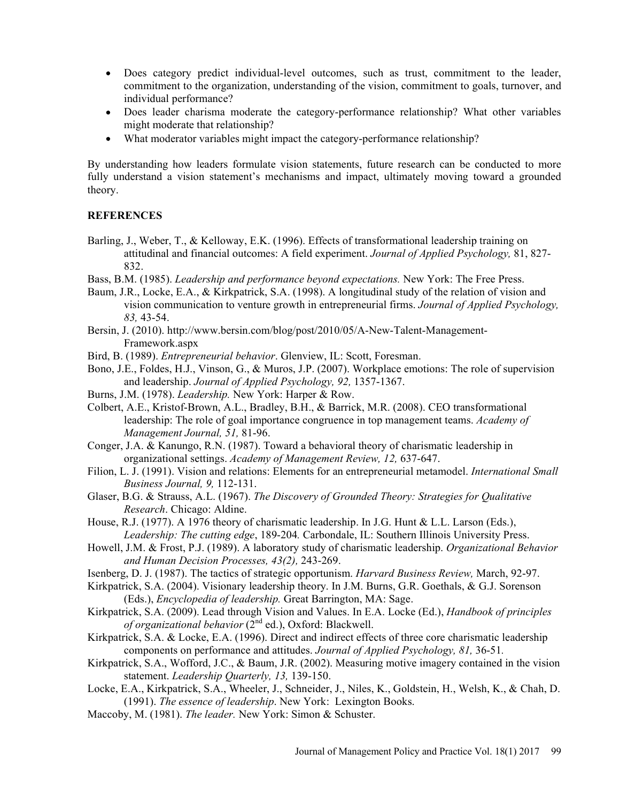- Does category predict individual-level outcomes, such as trust, commitment to the leader, commitment to the organization, understanding of the vision, commitment to goals, turnover, and individual performance?
- Does leader charisma moderate the category-performance relationship? What other variables might moderate that relationship?
- What moderator variables might impact the category-performance relationship?

By understanding how leaders formulate vision statements, future research can be conducted to more fully understand a vision statement's mechanisms and impact, ultimately moving toward a grounded theory.

## **REFERENCES**

- Barling, J., Weber, T., & Kelloway, E.K. (1996). Effects of transformational leadership training on attitudinal and financial outcomes: A field experiment. Journal of Applied Psychology, 81, 827- 832.
- Bass, B.M. (1985). Leadership and performance beyond expectations. New York: The Free Press.
- Baum, J.R., Locke, E.A., & Kirkpatrick, S.A. (1998). A longitudinal study of the relation of vision and vision communication to venture growth in entrepreneurial firms. Journal of Applied Psychology, 83, 43-54.
- Bersin, J. (2010). http://www.bersin.com/blog/post/2010/05/A-New-Talent-Management-Framework.aspx
- Bird, B. (1989). Entrepreneurial behavior. Glenview, IL: Scott, Foresman.
- Bono, J.E., Foldes, H.J., Vinson, G., & Muros, J.P. (2007). Workplace emotions: The role of supervision and leadership. Journal of Applied Psychology, 92, 1357-1367.
- Burns, J.M. (1978). Leadership. New York: Harper & Row.
- Colbert, A.E., Kristof-Brown, A.L., Bradley, B.H., & Barrick, M.R. (2008). CEO transformational leadership: The role of goal importance congruence in top management teams. Academy of Management Journal, 51, 81-96.
- Conger, J.A. & Kanungo, R.N. (1987). Toward a behavioral theory of charismatic leadership in organizational settings. Academy of Management Review, 12, 637-647.
- Filion, L. J. (1991). Vision and relations: Elements for an entrepreneurial metamodel. International Small Business Journal, 9, 112-131.
- Glaser, B.G. & Strauss, A.L. (1967). The Discovery of Grounded Theory: Strategies for Qualitative Research. Chicago: Aldine.
- House, R.J. (1977). A 1976 theory of charismatic leadership. In J.G. Hunt & L.L. Larson (Eds.), Leadership: The cutting edge, 189-204. Carbondale, IL: Southern Illinois University Press.
- Howell, J.M. & Frost, P.J. (1989). A laboratory study of charismatic leadership. Organizational Behavior and Human Decision Processes, 43(2), 243-269.
- Isenberg, D. J. (1987). The tactics of strategic opportunism. Harvard Business Review, March, 92-97.
- Kirkpatrick, S.A. (2004). Visionary leadership theory. In J.M. Burns, G.R. Goethals, & G.J. Sorenson (Eds.), Encyclopedia of leadership. Great Barrington, MA: Sage.
- Kirkpatrick, S.A. (2009). Lead through Vision and Values. In E.A. Locke (Ed.), Handbook of principles of organizational behavior  $(2^{nd}$  ed.), Oxford: Blackwell.
- Kirkpatrick, S.A. & Locke, E.A. (1996). Direct and indirect effects of three core charismatic leadership components on performance and attitudes. Journal of Applied Psychology, 81, 36-51.
- Kirkpatrick, S.A., Wofford, J.C., & Baum, J.R. (2002). Measuring motive imagery contained in the vision statement. Leadership Quarterly, 13, 139-150.
- Locke, E.A., Kirkpatrick, S.A., Wheeler, J., Schneider, J., Niles, K., Goldstein, H., Welsh, K., & Chah, D. (1991). The essence of leadership. New York: Lexington Books.
- Maccoby, M. (1981). The leader. New York: Simon & Schuster.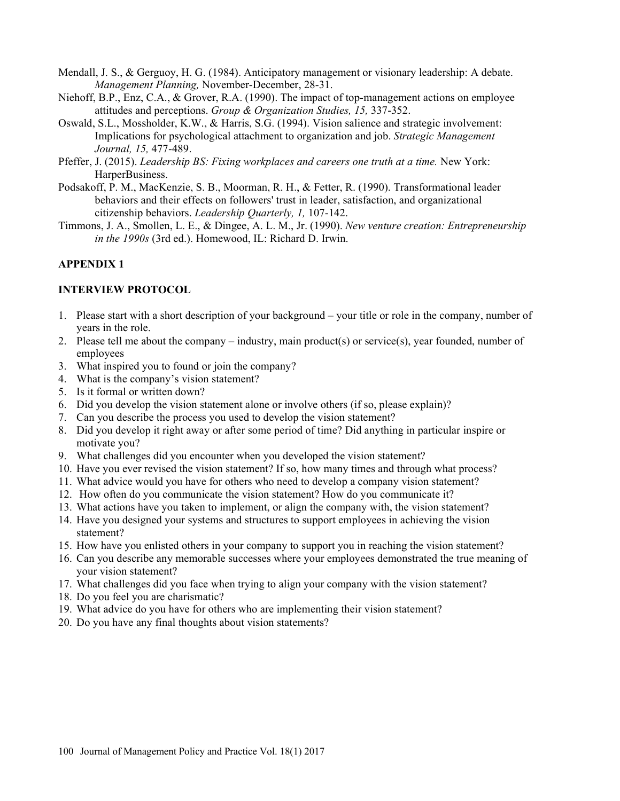Mendall, J. S., & Gerguoy, H. G. (1984). Anticipatory management or visionary leadership: A debate. Management Planning, November-December, 28-31.

- Niehoff, B.P., Enz, C.A., & Grover, R.A. (1990). The impact of top-management actions on employee attitudes and perceptions. Group & Organization Studies, 15, 337-352.
- Oswald, S.L., Mossholder, K.W., & Harris, S.G. (1994). Vision salience and strategic involvement: Implications for psychological attachment to organization and job. Strategic Management Journal, 15, 477-489.
- Pfeffer, J. (2015). Leadership BS: Fixing workplaces and careers one truth at a time. New York: HarperBusiness.
- Podsakoff, P. M., MacKenzie, S. B., Moorman, R. H., & Fetter, R. (1990). Transformational leader behaviors and their effects on followers' trust in leader, satisfaction, and organizational citizenship behaviors. Leadership Quarterly, 1, 107-142.
- Timmons, J. A., Smollen, L. E., & Dingee, A. L. M., Jr. (1990). New venture creation: Entrepreneurship in the 1990s (3rd ed.). Homewood, IL: Richard D. Irwin.

## APPENDIX 1

## INTERVIEW PROTOCOL

- 1. Please start with a short description of your background your title or role in the company, number of years in the role.
- 2. Please tell me about the company  $-$  industry, main product(s) or service(s), year founded, number of employees
- 3. What inspired you to found or join the company?
- 4. What is the company's vision statement?
- 5. Is it formal or written down?
- 6. Did you develop the vision statement alone or involve others (if so, please explain)?
- 7. Can you describe the process you used to develop the vision statement?
- 8. Did you develop it right away or after some period of time? Did anything in particular inspire or motivate you?
- 9. What challenges did you encounter when you developed the vision statement?
- 10. Have you ever revised the vision statement? If so, how many times and through what process?
- 11. What advice would you have for others who need to develop a company vision statement?
- 12. How often do you communicate the vision statement? How do you communicate it?
- 13. What actions have you taken to implement, or align the company with, the vision statement?
- 14. Have you designed your systems and structures to support employees in achieving the vision statement?
- 15. How have you enlisted others in your company to support you in reaching the vision statement?
- 16. Can you describe any memorable successes where your employees demonstrated the true meaning of your vision statement?
- 17. What challenges did you face when trying to align your company with the vision statement?
- 18. Do you feel you are charismatic?
- 19. What advice do you have for others who are implementing their vision statement?
- 20. Do you have any final thoughts about vision statements?